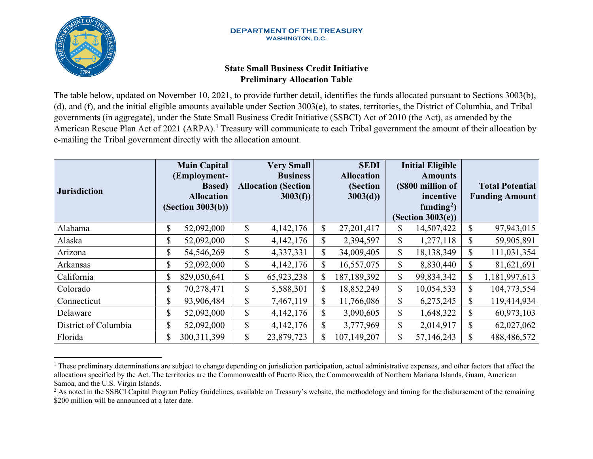

# <span id="page-0-1"></span><span id="page-0-0"></span>**State Small Business Credit Initiative Preliminary Allocation Table**

The table below, updated on November 10, 2021, to provide further detail, identifies the funds allocated pursuant to Sections 3003(b), (d), and (f), and the initial eligible amounts available under Section 3003(e), to states, territories, the District of Columbia, and Tribal governments (in aggregate), under the State Small Business Credit Initiative (SSBCI) Act of 2010 (the Act), as amended by the American Rescue Plan Act of 202[1](#page-0-0) (ARPA).<sup>1</sup> Treasury will communicate to each Tribal government the amount of their allocation by e-mailing the Tribal government directly with the allocation amount.

| <b>Jurisdiction</b>  | <b>Main Capital</b><br>(Employment-<br><b>Based</b> )<br><b>Allocation</b><br>(Section 3003(b)) |               | <b>Very Small</b><br><b>Business</b><br><b>Allocation (Section</b><br>3003(f) |               | <b>SEDI</b><br><b>Allocation</b><br>(Section<br>3003(d) |              | <b>Initial Eligible</b><br><b>Amounts</b><br>(\$800 million of<br>incentive<br>funding <sup>2</sup> )<br>(Section 3003(e)) |              | <b>Total Potential</b><br><b>Funding Amount</b> |
|----------------------|-------------------------------------------------------------------------------------------------|---------------|-------------------------------------------------------------------------------|---------------|---------------------------------------------------------|--------------|----------------------------------------------------------------------------------------------------------------------------|--------------|-------------------------------------------------|
| Alabama              | \$<br>52,092,000                                                                                | \$            | 4,142,176                                                                     | $\mathbb{S}$  | 27,201,417                                              | \$           | 14,507,422                                                                                                                 | \$           | 97,943,015                                      |
| Alaska               | \$<br>52,092,000                                                                                | $\mathbb{S}$  | 4,142,176                                                                     | $\mathbb{S}$  | 2,394,597                                               | $\mathbb{S}$ | 1,277,118                                                                                                                  | $\mathbb{S}$ | 59,905,891                                      |
| Arizona              | \$<br>54,546,269                                                                                | \$            | 4,337,331                                                                     | $\mathbb{S}$  | 34,009,405                                              | \$           | 18,138,349                                                                                                                 | $\mathbb{S}$ | 111,031,354                                     |
| Arkansas             | \$<br>52,092,000                                                                                | $\mathcal{S}$ | 4,142,176                                                                     | $\mathbb{S}$  | 16,557,075                                              | \$           | 8,830,440                                                                                                                  | \$           | 81,621,691                                      |
| California           | \$<br>829,050,641                                                                               | \$            | 65,923,238                                                                    | $\mathcal{S}$ | 187, 189, 392                                           | $\mathbb{S}$ | 99,834,342                                                                                                                 | $\mathbb{S}$ | 1,181,997,613                                   |
| Colorado             | \$<br>70,278,471                                                                                | $\mathbb{S}$  | 5,588,301                                                                     | $\mathbb{S}$  | 18,852,249                                              | $\mathbb{S}$ | 10,054,533                                                                                                                 | \$           | 104,773,554                                     |
| Connecticut          | \$<br>93,906,484                                                                                | \$            | 7,467,119                                                                     | $\mathbb{S}$  | 11,766,086                                              | $\mathbb{S}$ | 6,275,245                                                                                                                  | $\mathbb{S}$ | 119,414,934                                     |
| Delaware             | \$<br>52,092,000                                                                                | \$            | 4,142,176                                                                     | $\mathbb{S}$  | 3,090,605                                               | $\mathbb{S}$ | 1,648,322                                                                                                                  | \$           | 60,973,103                                      |
| District of Columbia | \$<br>52,092,000                                                                                | \$            | 4,142,176                                                                     | $\mathbb{S}$  | 3,777,969                                               | $\mathbb{S}$ | 2,014,917                                                                                                                  | \$           | 62,027,062                                      |
| Florida              | \$<br>300, 311, 399                                                                             | $\mathbb{S}$  | 23,879,723                                                                    | <sup>\$</sup> | 107,149,207                                             | \$           | 57,146,243                                                                                                                 | $\mathbb{S}$ | 488,486,572                                     |

<sup>&</sup>lt;sup>1</sup> These preliminary determinations are subject to change depending on jurisdiction participation, actual administrative expenses, and other factors that affect the allocations specified by the Act. The territories are the Commonwealth of Puerto Rico, the Commonwealth of Northern Mariana Islands, Guam, American Samoa, and the U.S. Virgin Islands.

<sup>&</sup>lt;sup>2</sup> As noted in the SSBCI Capital Program Policy Guidelines, available on Treasury's website, the methodology and timing for the disbursement of the remaining \$200 million will be announced at a later date.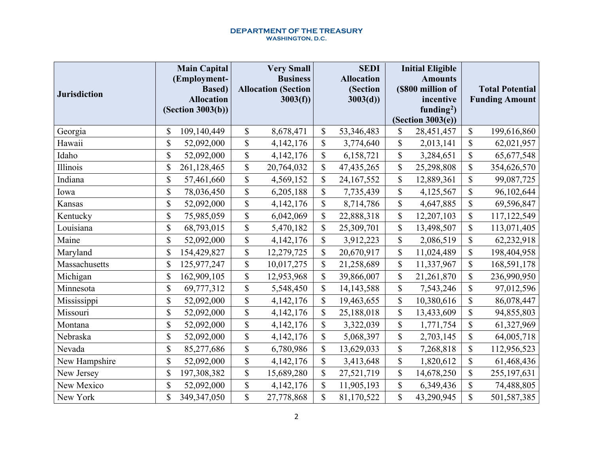| <b>Jurisdiction</b> | <b>Main Capital</b><br>(Employment-<br><b>Based</b> )<br><b>Allocation</b><br>(Section 3003(b)) |                           | <b>Very Small</b><br><b>Business</b><br><b>Allocation (Section</b><br>$3003(f)$ ) | <b>SEDI</b><br><b>Allocation</b><br>(Section<br>3003(d) |                           | <b>Initial Eligible</b><br><b>Amounts</b><br>(\$800 million of<br>incentive<br>funding <sup>2</sup> )<br>(Section 3003(e)) |                           | <b>Total Potential</b><br><b>Funding Amount</b> |
|---------------------|-------------------------------------------------------------------------------------------------|---------------------------|-----------------------------------------------------------------------------------|---------------------------------------------------------|---------------------------|----------------------------------------------------------------------------------------------------------------------------|---------------------------|-------------------------------------------------|
| Georgia             | \$<br>109,140,449                                                                               | \$                        | 8,678,471                                                                         | \$<br>53,346,483                                        | \$                        | 28,451,457                                                                                                                 | \$                        | 199,616,860                                     |
| Hawaii              | \$<br>52,092,000                                                                                | \$                        | 4,142,176                                                                         | \$<br>3,774,640                                         | $\boldsymbol{\mathsf{S}}$ | 2,013,141                                                                                                                  | \$                        | 62,021,957                                      |
| Idaho               | \$<br>52,092,000                                                                                | \$                        | 4,142,176                                                                         | \$<br>6,158,721                                         | \$                        | 3,284,651                                                                                                                  | \$                        | 65,677,548                                      |
| Illinois            | \$<br>261,128,465                                                                               | \$                        | 20,764,032                                                                        | \$<br>47, 435, 265                                      | \$                        | 25,298,808                                                                                                                 | \$                        | 354,626,570                                     |
| Indiana             | \$<br>57,461,660                                                                                | \$                        | 4,569,152                                                                         | \$<br>24, 167, 552                                      | $\boldsymbol{\mathsf{S}}$ | 12,889,361                                                                                                                 | \$                        | 99,087,725                                      |
| Iowa                | \$<br>78,036,450                                                                                | \$                        | 6,205,188                                                                         | \$<br>7,735,439                                         | \$                        | 4,125,567                                                                                                                  | \$                        | 96,102,644                                      |
| Kansas              | \$<br>52,092,000                                                                                | \$                        | 4,142,176                                                                         | \$<br>8,714,786                                         | \$                        | 4,647,885                                                                                                                  | \$                        | 69,596,847                                      |
| Kentucky            | \$<br>75,985,059                                                                                | $\boldsymbol{\mathsf{S}}$ | 6,042,069                                                                         | \$<br>22,888,318                                        | $\mathsf{\$}$             | 12,207,103                                                                                                                 | $\boldsymbol{\mathsf{S}}$ | 117,122,549                                     |
| Louisiana           | \$<br>68,793,015                                                                                | \$                        | 5,470,182                                                                         | \$<br>25,309,701                                        | \$                        | 13,498,507                                                                                                                 | \$                        | 113,071,405                                     |
| Maine               | \$<br>52,092,000                                                                                | \$                        | 4,142,176                                                                         | \$<br>3,912,223                                         | \$                        | 2,086,519                                                                                                                  | \$                        | 62,232,918                                      |
| Maryland            | \$<br>154,429,827                                                                               | \$                        | 12,279,725                                                                        | \$<br>20,670,917                                        | $\mathsf{\$}$             | 11,024,489                                                                                                                 | \$                        | 198,404,958                                     |
| Massachusetts       | \$<br>125,977,247                                                                               | \$                        | 10,017,275                                                                        | \$<br>21,258,689                                        | $\mathbb{S}$              | 11,337,967                                                                                                                 | \$                        | 168,591,178                                     |
| Michigan            | \$<br>162,909,105                                                                               | \$                        | 12,953,968                                                                        | \$<br>39,866,007                                        | \$                        | 21,261,870                                                                                                                 | \$                        | 236,990,950                                     |
| Minnesota           | \$<br>69,777,312                                                                                | \$                        | 5,548,450                                                                         | \$<br>14, 143, 588                                      | $\boldsymbol{\mathsf{S}}$ | 7,543,246                                                                                                                  | \$                        | 97,012,596                                      |
| Mississippi         | \$<br>52,092,000                                                                                | \$                        | 4,142,176                                                                         | \$<br>19,463,655                                        | \$                        | 10,380,616                                                                                                                 | \$                        | 86,078,447                                      |
| Missouri            | \$<br>52,092,000                                                                                | \$                        | 4,142,176                                                                         | \$<br>25,188,018                                        | \$                        | 13,433,609                                                                                                                 | \$                        | 94,855,803                                      |
| Montana             | \$<br>52,092,000                                                                                | $\boldsymbol{\mathsf{S}}$ | 4,142,176                                                                         | \$<br>3,322,039                                         | $\boldsymbol{\mathsf{S}}$ | 1,771,754                                                                                                                  | $\boldsymbol{\mathsf{S}}$ | 61,327,969                                      |
| Nebraska            | \$<br>52,092,000                                                                                | \$                        | 4,142,176                                                                         | \$<br>5,068,397                                         | \$                        | 2,703,145                                                                                                                  | \$                        | 64,005,718                                      |
| Nevada              | \$<br>85,277,686                                                                                | \$                        | 6,780,986                                                                         | \$<br>13,629,033                                        | \$                        | 7,268,818                                                                                                                  | \$                        | 112,956,523                                     |
| New Hampshire       | \$<br>52,092,000                                                                                | \$                        | 4,142,176                                                                         | \$<br>3,413,648                                         | $\boldsymbol{\mathsf{S}}$ | 1,820,612                                                                                                                  | $\boldsymbol{\mathsf{S}}$ | 61,468,436                                      |
| New Jersey          | \$<br>197,308,382                                                                               | \$                        | 15,689,280                                                                        | \$<br>27,521,719                                        | \$                        | 14,678,250                                                                                                                 | \$                        | 255, 197, 631                                   |
| New Mexico          | \$<br>52,092,000                                                                                | \$                        | 4,142,176                                                                         | \$<br>11,905,193                                        | \$                        | 6,349,436                                                                                                                  | \$                        | 74,488,805                                      |
| New York            | \$<br>349, 347, 050                                                                             | $\mathsf{\$}$             | 27,778,868                                                                        | \$<br>81,170,522                                        | $\mathbb{S}$              | 43,290,945                                                                                                                 | \$                        | 501,587,385                                     |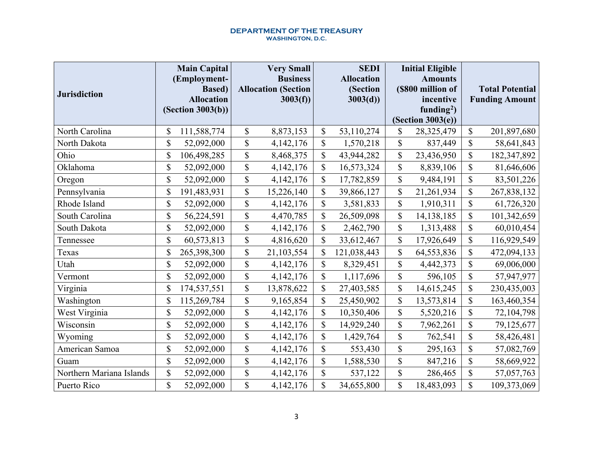| <b>Jurisdiction</b>      | <b>Main Capital</b><br>(Employment-<br><b>Based</b> )<br><b>Allocation</b><br>(Section 3003(b)) |               | <b>Very Small</b><br><b>Business</b><br><b>Allocation (Section</b><br>3003(f) | <b>SEDI</b><br><b>Allocation</b><br>(Section<br>3003(d) |              | <b>Initial Eligible</b><br><b>Amounts</b><br>(\$800 million of<br>incentive<br>funding <sup>2</sup> )<br>(Section 3003(e)) |                           | <b>Total Potential</b><br><b>Funding Amount</b> |
|--------------------------|-------------------------------------------------------------------------------------------------|---------------|-------------------------------------------------------------------------------|---------------------------------------------------------|--------------|----------------------------------------------------------------------------------------------------------------------------|---------------------------|-------------------------------------------------|
| North Carolina           | \$<br>111,588,774                                                                               | \$            | 8,873,153                                                                     | \$<br>53,110,274                                        | \$           | 28,325,479                                                                                                                 | \$                        | 201,897,680                                     |
| North Dakota             | \$<br>52,092,000                                                                                | $\mathsf{\$}$ | 4,142,176                                                                     | \$<br>1,570,218                                         | \$           | 837,449                                                                                                                    | \$                        | 58,641,843                                      |
| Ohio                     | \$<br>106,498,285                                                                               | \$            | 8,468,375                                                                     | \$<br>43,944,282                                        | \$           | 23,436,950                                                                                                                 | \$                        | 182,347,892                                     |
| Oklahoma                 | \$<br>52,092,000                                                                                | \$            | 4,142,176                                                                     | \$<br>16,573,324                                        | \$           | 8,839,106                                                                                                                  | \$                        | 81,646,606                                      |
| Oregon                   | \$<br>52,092,000                                                                                | \$            | 4,142,176                                                                     | \$<br>17,782,859                                        | \$           | 9,484,191                                                                                                                  | \$                        | 83,501,226                                      |
| Pennsylvania             | \$<br>191,483,931                                                                               | \$            | 15,226,140                                                                    | \$<br>39,866,127                                        | \$           | 21,261,934                                                                                                                 | \$                        | 267,838,132                                     |
| Rhode Island             | \$<br>52,092,000                                                                                | \$            | 4,142,176                                                                     | \$<br>3,581,833                                         | \$           | 1,910,311                                                                                                                  | \$                        | 61,726,320                                      |
| South Carolina           | \$<br>56,224,591                                                                                | \$            | 4,470,785                                                                     | \$<br>26,509,098                                        | \$           | 14,138,185                                                                                                                 | \$                        | 101,342,659                                     |
| South Dakota             | \$<br>52,092,000                                                                                | \$            | 4,142,176                                                                     | \$<br>2,462,790                                         | \$           | 1,313,488                                                                                                                  | \$                        | 60,010,454                                      |
| Tennessee                | \$<br>60,573,813                                                                                | \$            | 4,816,620                                                                     | \$<br>33,612,467                                        | $\mathbb{S}$ | 17,926,649                                                                                                                 | \$                        | 116,929,549                                     |
| Texas                    | \$<br>265,398,300                                                                               | \$            | 21,103,554                                                                    | \$<br>121,038,443                                       | \$           | 64,553,836                                                                                                                 | \$                        | 472,094,133                                     |
| Utah                     | \$<br>52,092,000                                                                                | \$            | 4,142,176                                                                     | \$<br>8,329,451                                         | $\mathbb{S}$ | 4,442,373                                                                                                                  | \$                        | 69,006,000                                      |
| Vermont                  | \$<br>52,092,000                                                                                | $\mathsf{\$}$ | 4,142,176                                                                     | \$<br>1,117,696                                         | \$           | 596,105                                                                                                                    | \$                        | 57,947,977                                      |
| Virginia                 | \$<br>174,537,551                                                                               | \$            | 13,878,622                                                                    | \$<br>27,403,585                                        | \$           | 14,615,245                                                                                                                 | \$                        | 230,435,003                                     |
| Washington               | \$<br>115,269,784                                                                               | \$            | 9,165,854                                                                     | \$<br>25,450,902                                        | \$           | 13,573,814                                                                                                                 | \$                        | 163,460,354                                     |
| West Virginia            | \$<br>52,092,000                                                                                | \$            | 4,142,176                                                                     | \$<br>10,350,406                                        | \$           | 5,520,216                                                                                                                  | $\boldsymbol{\$}$         | 72,104,798                                      |
| Wisconsin                | \$<br>52,092,000                                                                                | $\mathsf{\$}$ | 4,142,176                                                                     | \$<br>14,929,240                                        | \$           | 7,962,261                                                                                                                  | \$                        | 79,125,677                                      |
| Wyoming                  | \$<br>52,092,000                                                                                | \$            | 4,142,176                                                                     | \$<br>1,429,764                                         | \$           | 762,541                                                                                                                    | \$                        | 58,426,481                                      |
| American Samoa           | \$<br>52,092,000                                                                                | \$            | 4,142,176                                                                     | \$<br>553,430                                           | \$           | 295,163                                                                                                                    | \$                        | 57,082,769                                      |
| Guam                     | \$<br>52,092,000                                                                                | \$            | 4,142,176                                                                     | \$<br>1,588,530                                         | \$           | 847,216                                                                                                                    | $\boldsymbol{\mathsf{S}}$ | 58,669,922                                      |
| Northern Mariana Islands | \$<br>52,092,000                                                                                | \$            | 4,142,176                                                                     | \$<br>537,122                                           | \$           | 286,465                                                                                                                    | \$                        | 57,057,763                                      |
| Puerto Rico              | \$<br>52,092,000                                                                                | $\mathsf{\$}$ | 4,142,176                                                                     | \$<br>34,655,800                                        | \$           | 18,483,093                                                                                                                 | \$                        | 109,373,069                                     |